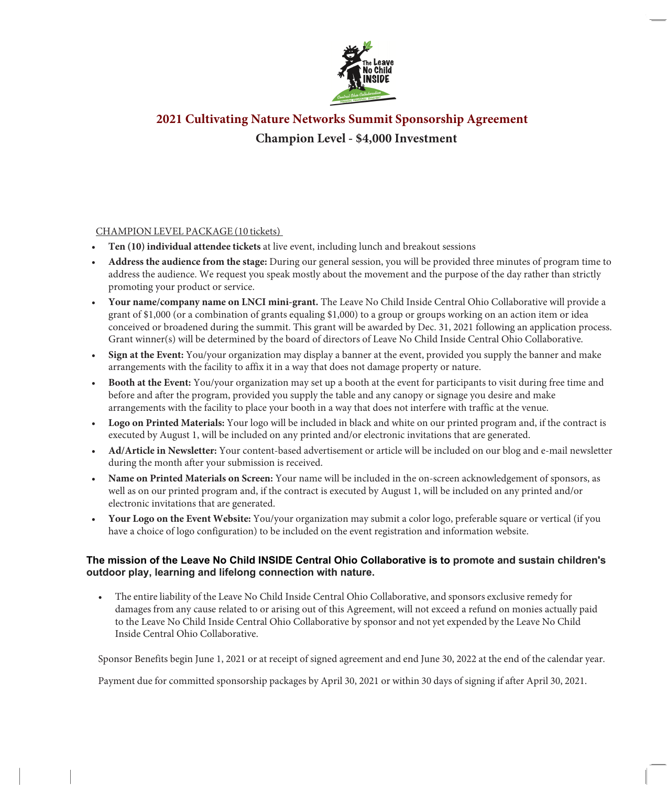

# **2021 Cultivating Nature Networks Summit Sponsorship Agreement Champion Level - \$4,000 Investment**

#### CHAMPION LEVEL PACKAGE (10 tickets)

- **Ten (10) individual attendee tickets** at live event, including lunch and breakout sessions
- **Address the audience from the stage:** During our general session, you will be provided three minutes of program time to address the audience. We request you speak mostly about the movement and the purpose of the day rather than strictly promoting your product or service.
- **Your name/company name on LNCI mini-grant.** The Leave No Child Inside Central Ohio Collaborative will provide a grant of \$1,000 (or a combination of grants equaling \$1,000) to a group or groups working on an action item or idea conceived or broadened during the summit. This grant will be awarded by Dec. 31, 2021 following an application process. Grant winner(s) will be determined by the board of directors of Leave No Child Inside Central Ohio Collaborative.
- **Sign at the Event:** You/your organization may display a banner at the event, provided you supply the banner and make arrangements with the facility to affix it in a way that does not damage property or nature.
- **Booth at the Event:** You/your organization may set up a booth at the event for participants to visit during free time and before and after the program, provided you supply the table and any canopy or signage you desire and make arrangements with the facility to place your booth in a way that does not interfere with traffic at the venue.
- **Logo on Printed Materials:** Your logo will be included in black and white on our printed program and, if the contract is executed by August 1, will be included on any printed and/or electronic invitations that are generated.
- **Ad/Article in Newsletter:** Your content-based advertisement or article will be included on our blog and e-mail newsletter during the month after your submission is received.
- **Name on Printed Materials on Screen:** Your name will be included in the on-screen acknowledgement of sponsors, as well as on our printed program and, if the contract is executed by August 1, will be included on any printed and/or electronic invitations that are generated.
- **Your Logo on the Event Website:** You/your organization may submit a color logo, preferable square or vertical (if you have a choice of logo configuration) to be included on the event registration and information website.

#### **The mission of the Leave No Child INSIDE Central Ohio Collaborative is to promote and sustain children's outdoor play, learning and lifelong connection with nature.**

• The entire liability of the Leave No Child Inside Central Ohio Collaborative, and sponsors exclusive remedy for damages from any cause related to or arising out of this Agreement, will not exceed a refund on monies actually paid to the Leave No Child Inside Central Ohio Collaborative by sponsor and not yet expended by the Leave No Child Inside Central Ohio Collaborative.

Sponsor Benefits begin June 1, 2021 or at receipt of signed agreement and end June 30, 2022 at the end of the calendar year.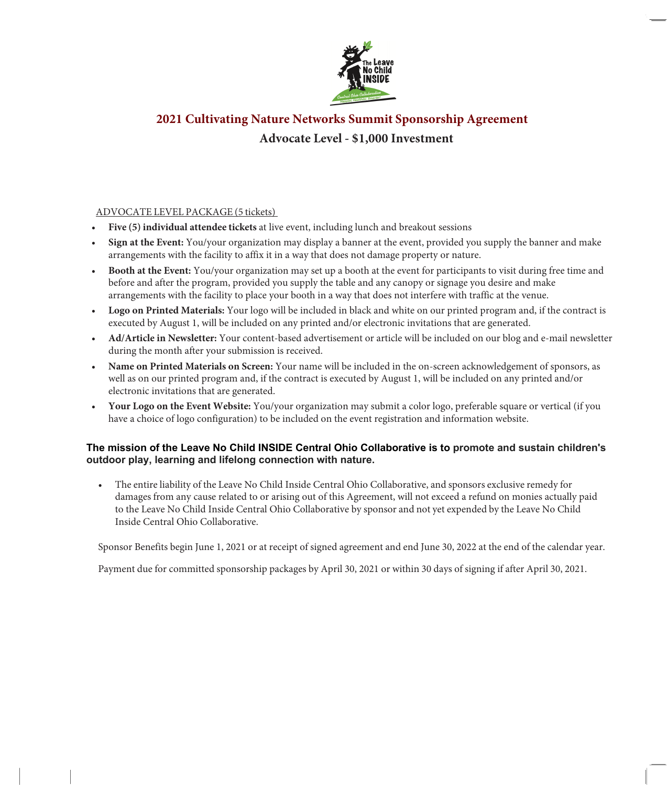

# **2021 Cultivating Nature Networks Summit Sponsorship Agreement Advocate Level - \$1,000 Investment**

#### ADVOCATE LEVEL PACKAGE (5 tickets)

- **Five (5) individual attendee tickets** at live event, including lunch and breakout sessions
- **Sign at the Event:** You/your organization may display a banner at the event, provided you supply the banner and make arrangements with the facility to affix it in a way that does not damage property or nature.
- **Booth at the Event:** You/your organization may set up a booth at the event for participants to visit during free time and before and after the program, provided you supply the table and any canopy or signage you desire and make arrangements with the facility to place your booth in a way that does not interfere with traffic at the venue.
- **Logo on Printed Materials:** Your logo will be included in black and white on our printed program and, if the contract is executed by August 1, will be included on any printed and/or electronic invitations that are generated.
- **Ad/Article in Newsletter:** Your content-based advertisement or article will be included on our blog and e-mail newsletter during the month after your submission is received.
- **Name on Printed Materials on Screen:** Your name will be included in the on-screen acknowledgement of sponsors, as well as on our printed program and, if the contract is executed by August 1, will be included on any printed and/or electronic invitations that are generated.
- **Your Logo on the Event Website:** You/your organization may submit a color logo, preferable square or vertical (if you have a choice of logo configuration) to be included on the event registration and information website.

#### **The mission of the Leave No Child INSIDE Central Ohio Collaborative is to promote and sustain children's outdoor play, learning and lifelong connection with nature.**

• The entire liability of the Leave No Child Inside Central Ohio Collaborative, and sponsors exclusive remedy for damages from any cause related to or arising out of this Agreement, will not exceed a refund on monies actually paid to the Leave No Child Inside Central Ohio Collaborative by sponsor and not yet expended by the Leave No Child Inside Central Ohio Collaborative.

Sponsor Benefits begin June 1, 2021 or at receipt of signed agreement and end June 30, 2022 at the end of the calendar year.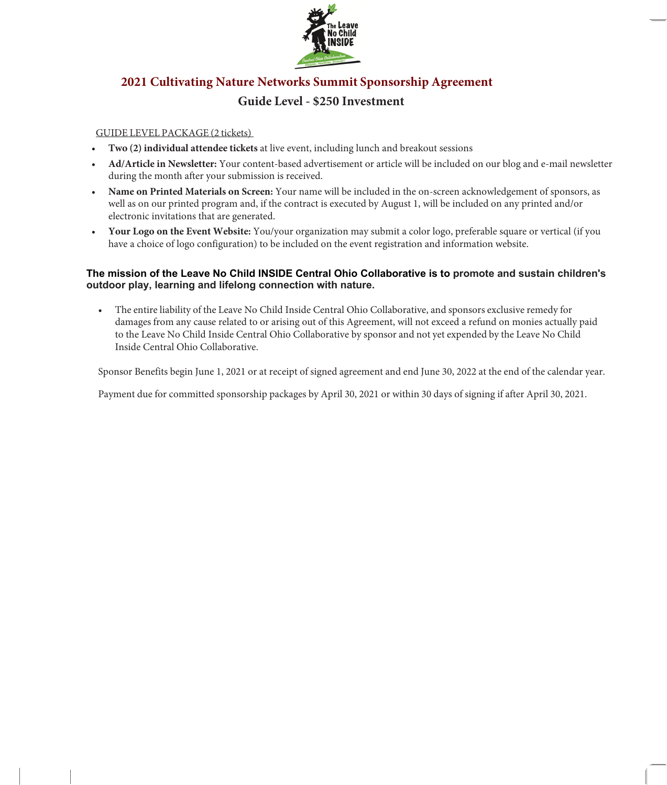

# **2021 Cultivating Nature Networks Summit Sponsorship Agreement Guide Level - \$250 Investment**

#### GUIDE LEVEL PACKAGE (2 tickets)

- **Two (2) individual attendee tickets** at live event, including lunch and breakout sessions
- **Ad/Article in Newsletter:** Your content-based advertisement or article will be included on our blog and e-mail newsletter during the month after your submission is received.
- **Name on Printed Materials on Screen:** Your name will be included in the on-screen acknowledgement of sponsors, as well as on our printed program and, if the contract is executed by August 1, will be included on any printed and/or electronic invitations that are generated.
- **Your Logo on the Event Website:** You/your organization may submit a color logo, preferable square or vertical (if you have a choice of logo configuration) to be included on the event registration and information website.

#### **The mission of the Leave No Child INSIDE Central Ohio Collaborative is to promote and sustain children's outdoor play, learning and lifelong connection with nature.**

• The entire liability of the Leave No Child Inside Central Ohio Collaborative, and sponsors exclusive remedy for damages from any cause related to or arising out of this Agreement, will not exceed a refund on monies actually paid to the Leave No Child Inside Central Ohio Collaborative by sponsor and not yet expended by the Leave No Child Inside Central Ohio Collaborative.

Sponsor Benefits begin June 1, 2021 or at receipt of signed agreement and end June 30, 2022 at the end of the calendar year.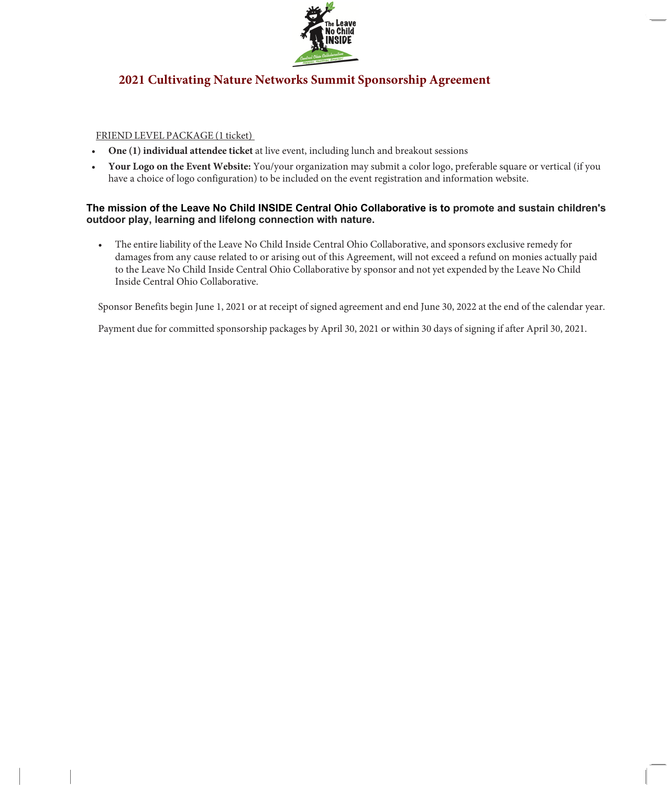

### **2021 Cultivating Nature Networks Summit Sponsorship Agreement**

#### FRIEND LEVEL PACKAGE (1 ticket)

- **One (1) individual attendee ticket** at live event, including lunch and breakout sessions
- **Your Logo on the Event Website:** You/your organization may submit a color logo, preferable square or vertical (if you have a choice of logo configuration) to be included on the event registration and information website.

#### **The mission of the Leave No Child INSIDE Central Ohio Collaborative is to promote and sustain children's outdoor play, learning and lifelong connection with nature.**

• The entire liability of the Leave No Child Inside Central Ohio Collaborative, and sponsors exclusive remedy for damages from any cause related to or arising out of this Agreement, will not exceed a refund on monies actually paid to the Leave No Child Inside Central Ohio Collaborative by sponsor and not yet expended by the Leave No Child Inside Central Ohio Collaborative.

Sponsor Benefits begin June 1, 2021 or at receipt of signed agreement and end June 30, 2022 at the end of the calendar year.